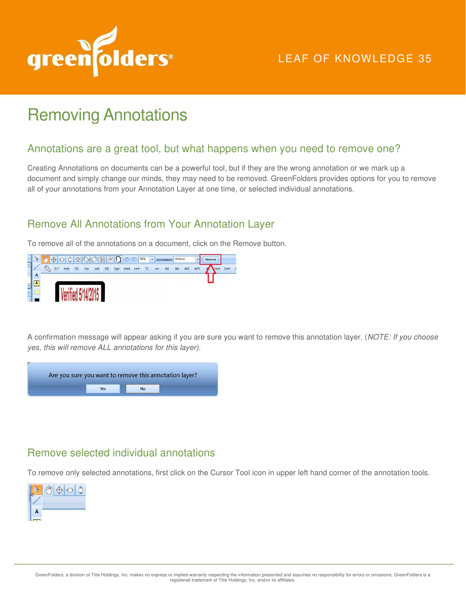

# LEAF OF KNOWLEDGE 35

# Removing Annotations

#### Annotations are a great tool, but what happens when you need to remove one?

Creating Annotations on documents can be a powerful tool, but if they are the wrong annotation or we mark up a document and simply change our minds, they may need to be removed. GreenFolders provides options for you to remove all of your annotations from your Annotation Layer at one time, or selected individual annotations.

## Remove All Annotations from Your Annotation Layer

To remove all of the annotations on a document, click on the Remove button.



A confirmation message will appear asking if you are sure you want to remove this annotation layer. (*NOTE: If you choose yes, this will remove ALL annotations for this layer).* 



### Remove selected individual annotations

To remove only selected annotations, first click on the Cursor Tool icon in upper left hand corner of the annotation tools.